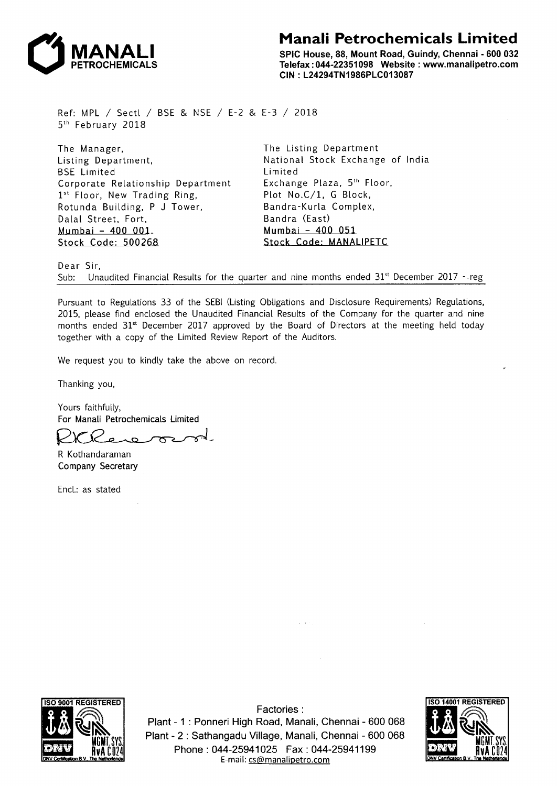

## **Manali Petrochemicals Limited**

SPIC House, 88, Mount Road, Guindy, Chennai - 600 032 Telefax: 044-22351098 Website : www.manalipetro.com CIN: L24294TN1986PLC013087

Ref: MPL *I* Sectl *I* BSE & NSE *I* E-2 & E-3 *I* 2018 5th February 2018

The Manager, Listing Department, BSE Limited Corporate Relationship Department 1<sup>st</sup> Floor, New Trading Ring, Rotunda Building, P J Tower, Dalal Street, Fort, Mumbai - 400 001. Stock Code: 500268

The Listing Department National Stock Exchange of India Limited Exchange Plaza, 5<sup>th</sup> Floor, Plot No.C/1, G Block, Bandra-Kurla Complex, Bandra (East) Mumbai - 400 051 Stock Code: MANALIPETC

Dear Sir,

Sub: Unaudited Financial Results for the quarter and nine months ended  $31^{st}$  December 2017 - reg

Pursuant to Regulations 33 of the SEBI (Listing Obligations and Disclosure Requirements) Regulations, 2015, please find enclosed the Unaudited Financial Results of the Company for the quarter and nine months ended  $31^{st}$  December 2017 approved by the Board of Directors at the meeting held today together with a copy of the Limited Review Report of the Auditors.

We request you to kindly take the above on record.

Thanking you,

Yours faithfully, For Manali Petrochemicals Limited

R Kothandaraman Company Secretary

Encl.: as stated



Factories: Plant - 1 : Ponneri High Road, Manali, Chennai - 600 068 Plant - 2: Sathangadu Village, Manali, Chennai - 600 068 Phone : 044-25941025 Fax : 044-25941199 E-mail: cs@manalipetro.com

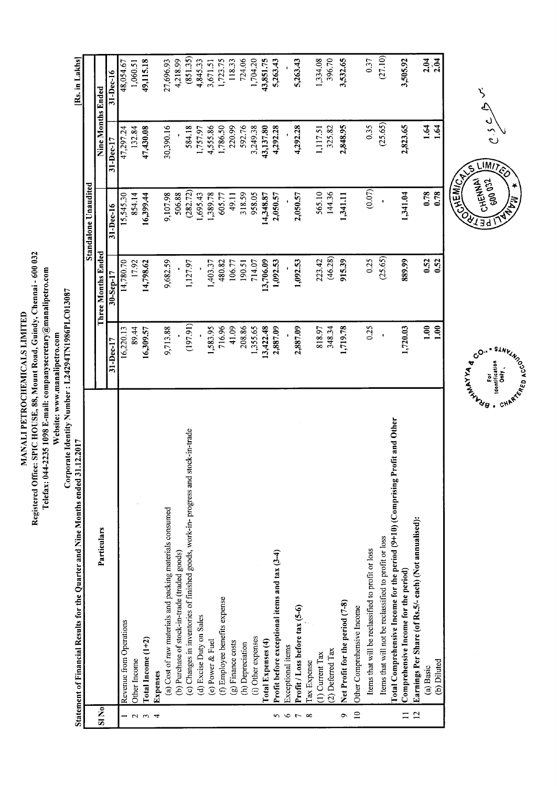Registered Office: SPIC HOUSE, 88, Mount Road, Guindy, Chennai - 600 032 Telefax: 044-2235 1098 E-mail: companysecretary@manalipetro.com MANALI PETROCHEMICALS LIMITED Website: www.manalipetro.com

|                    | Corporate Identity Number: L24294TN1986PLC013087<br>12.2017<br>Statement of Financial Results for the Quarter and Nine Months ended 31 |                |                    |                             |                   | [Rs. in Lakhs]   |
|--------------------|----------------------------------------------------------------------------------------------------------------------------------------|----------------|--------------------|-----------------------------|-------------------|------------------|
|                    |                                                                                                                                        |                |                    | <b>Standalone</b> Unaudited |                   |                  |
| $S1$ No            | Particulars                                                                                                                            |                | Three Months Ended |                             | Nine Months Ended |                  |
|                    |                                                                                                                                        | $31 - Dec-17$  | $30 -$ Sep-17      | 31-Dec-16                   | 31-Dec-17         | 31-Dec-16        |
|                    | Revenue from Operations                                                                                                                | 16,220.13      | 14,780.70          | 15,545.30                   | 47,297.24         | 48,054.67        |
| $\sim$             | Other Income                                                                                                                           | 89.44          | 17.92              | 854.14                      | 132.84            | 1,060.51         |
| $\mathbf{\hat{z}}$ | Total Income (1+2)                                                                                                                     | 16,309.57      | 14,798.62          | 16,399.44                   | 47,430.08         | 49,115.18        |
|                    | Expenses                                                                                                                               |                |                    |                             |                   |                  |
|                    | (a) Cost of raw materials and packing materials consumed                                                                               | 9,713.88       | 9,682.59           | 9,107.98                    | 30,390.16         | 27,696.93        |
|                    | (b) Purchase of stock-in-trade (traded goods)                                                                                          |                |                    | 506.88                      |                   | 4,218.99         |
|                    | (c) Changes in inventories of finished goods, work-in-progress and stock-in-trade                                                      | (197.91)       | 1,127.97           | (282.72)                    | 584.18            | (851.35)         |
|                    | (d) Excise Duty on Sales                                                                                                               |                |                    | 1,695.43                    | 1,757.97          | 4,845.33         |
|                    | (e) Power & Fuel                                                                                                                       | 1,583.95       | 1,403.37           | 1,389.78                    | 4,555.86          | 3,671.51         |
|                    | (f) Employee benefits expense                                                                                                          | 716.96         | 480.82             | 605.77                      | 1,786.50          | 1,723.75         |
|                    | (g) Finance costs                                                                                                                      | 41.09          | 106.77             | 49.11                       | 220.99            | 118.33           |
|                    | (h) Depreciation                                                                                                                       | 208.86         | 190.51             | 318.59                      | 592.76            | 724.06           |
|                    | (i) Other expenses                                                                                                                     | 1,355.65       | 714.07             | 958.05                      | 3,249.38          | 1,704.20         |
|                    | Total Expenses (4)                                                                                                                     | 13,422.48      | 13,706.09          | 14,348.87                   | 43,137.80         | 43,851.75        |
| S                  | Profit before exceptional items and tax (3-4)                                                                                          | 2,887.09       | 1,092.53           | 2,050.57                    | 4,292.28          | 5,263.43         |
| $\circ$            | Exceptional items                                                                                                                      |                |                    |                             |                   |                  |
| $\overline{r}$     | Profit / Loss before tax (5-6)                                                                                                         | 2,887.09       | 1,092.53           | 2,050.57                    | 4,292.28          | 5,263.43         |
| $\infty$           | Tax Expense                                                                                                                            |                |                    |                             |                   |                  |
|                    | $(1)$ Current Tax                                                                                                                      | 818.97         | 223.42             | 565.10                      | 1,117.51          | 1,334.08         |
|                    | (2) Deferred Tax                                                                                                                       | 348.34         | (46.28)            | 144.36                      | 325.82            | 396.70           |
| ç                  | Net Profit for the period (7-8)                                                                                                        | 1,719.78       | 915.39             | 1,341.11                    | 2,848.95          | 3,532.65         |
| $\overline{10}$    | Other Comprehensive Income                                                                                                             |                |                    |                             |                   |                  |
|                    | Items that will be reclassified to profit or loss                                                                                      | 0.25           | 0.25               | (0.07)                      | 0.35              | 0.37             |
|                    | Items that will not be reclassified to profit or loss                                                                                  | $\mathbf{r}$   | (25.65)            | $\cdot$                     | (25.65)           | (27.10)          |
|                    | Total Comprehensive Income for the period (9+10) (Comprising Profit and Other                                                          |                |                    |                             |                   |                  |
| $\Box$             | Comprehensive Income for the period)                                                                                                   | 1,720.03       | 889.99             | 1,341.04                    | 2,823.65          | 3,505.92         |
| $\overline{2}$     | Earnings Per Share (of Rs.5/- each) (Not annualised):                                                                                  |                |                    |                             |                   |                  |
|                    | (a) Basic                                                                                                                              | $\frac{8}{11}$ | 0.52               | 0.78                        | 1.64              | $2.04$<br>$2.04$ |
|                    | (b) Diluted                                                                                                                            | $\frac{8}{10}$ | 0.52               | 0.78                        | 1.64              |                  |
|                    |                                                                                                                                        |                |                    | パロロー                        |                   |                  |

 $c.s \rightarrow c$  $LIMJ$ 



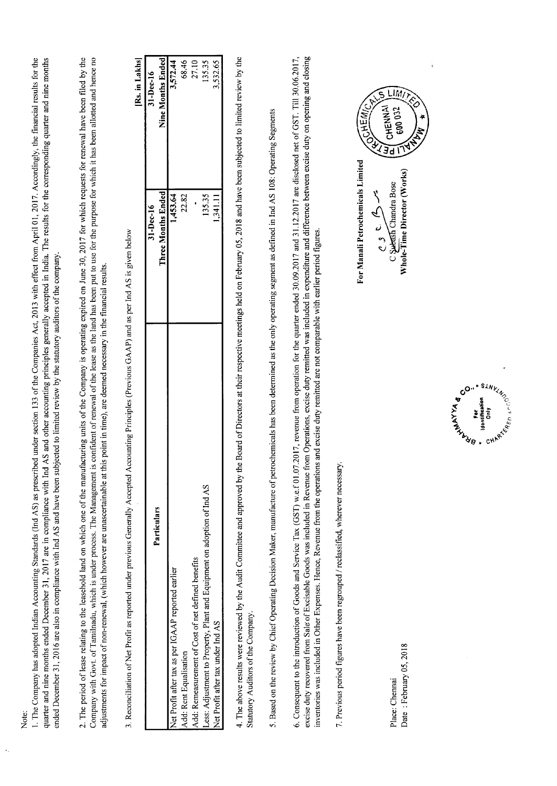Note:

1. The Company has adopted Indian Accounting Standards (Ind AS) as prescribed under section 133 of the Companies Act, 2013 with effect from April 01, 2017. Accordingly, the financial results for the quarter and nine months ended December 31, 2017 are in compliance with Ind AS and other accounting principles generally accepted in India. The results for the corresponding quarter and nine months ended December 31, 2016 are also in compliance with Ind AS and have been subjected to limited review by the statutory auditors of the company. 2. The period of lease relating to the leasehold land on which one of the manufacturing units of the Company is operating expired on June 30, 2017 for which requests for renewal have been filed by the Company with Govt. of Tamilnadu, which is under process. The Management is confident of renewal of the lease as the land has been put to use for the purpose for which it has been allotted and hence no adjustments for impact of non-renewal, (which however are unascertainable at this point in time), are deemed necessary in the financial results.

3. Reconciliation of Net Profit as reported under previous Generally Accepted Accounting Principles (Previous GAAP) and as per Ind AS is given below

[Rs. in Lakhs]

| Particulars                                                             | 31-Dec-16          | 31-Dec-16         |
|-------------------------------------------------------------------------|--------------------|-------------------|
|                                                                         | Three Months Ended | Nine Months Endec |
| Net Profit after tax as per IGAAP reported earlier                      | 1,453.64           | 3,572.44          |
| Add: Rent Equalisation                                                  | 22.82              | 68.46             |
| Add: Remeasurement of Cost of net defined benefits                      |                    | 27.10             |
| Less: Adjustment to Property, Plant and Equipment on adoption of Ind AS | 135.35             | 135.35            |
| Net Profit after tax under Ind AS                                       | 1,341.11           | 1,532.65          |

4. The above results were reviewed by the Audit Committee and approved by the Board of Directors at their respective meetings held on February 05, 2018 and have been subjected to limited review by the Statutory Auditors of the Company.

5. Based on the review by Chief Operating Decision Maker, manufacture of petrochemicals has been determined as the only operating segment as defined in Ind AS 108: Operating Segments

6. Consequent to the introduction of Goods and Service Tax (GST) w.e.f 01.07.2017, revenue from operation for the quarter ended 30.09.2017 and 31.12.2017 are disclosed net of GST. Till 30.06.2017, excise duty recovered from Sale of Excisable Goods was included in Revenue from Operations, excise duty remitted was included in expenditure and difference between excise duty on opening and closing inventories was included in Other Expenses. Hence, Revenue from the operations and excise duty remitted are not comparable with earlier period figures.

7. Previous period figures have been regrouped / reclassified, wherever necessary.

For Manali Petrochemicals Limited

**NANNEL** 600 032 **OCHEIN ALLE** Whole-Time Director (Works) C Subash Chandra Bose  $0.3$  c.  $4.5$ 

LIMT



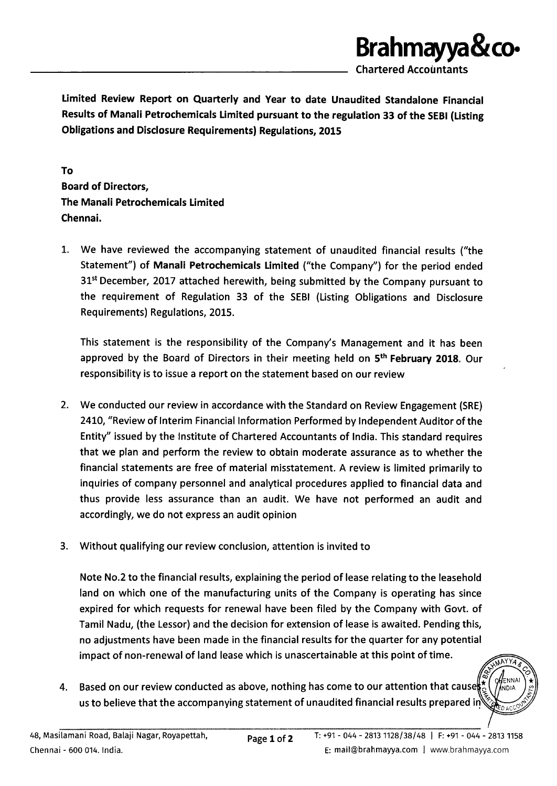

chartered Accountants

Limited Review Report on Quarterly and Year to date Unaudited Standalone Financial Results of Manali Petrochemicals Limited pursuant to the regulation 33 of the SEBI (Listing Obligations and Disclosure Requirements) Regulations, 2015

To Board of Directors, The Manali Petrochemicals Limited Chennai.

1. We have reviewed the accompanying statement of unaudited financial results ("the Statement") of Manali Petrochemicals Limited ("the Company") for the period ended 31<sup>st</sup> December, 2017 attached herewith, being submitted by the Company pursuant to the requirement of Regulation 33 of the SEBI (Listing Obligations and Disclosure Requirements) Regulations, 2015.

This statement is the responsibility of the Company's Management and it has been approved by the Board of Directors in their meeting held on 5<sup>th</sup> February 2018. Our responsibility is to issue a report on the statement based on our review

- 2. We conducted our review in accordance with the Standard on Review Engagement (SRE) 2410, "Review of Interim Financial Information Performed by Independent Auditor of the Entity" issued by the Institute of Chartered Accountants of India. This standard requires that we plan and perform the review to obtain moderate assurance as to whether the financial statements are free of material misstatement. A review is limited primarily to inquiries of company personnel and analytical procedures applied to financial data and thus provide less assurance than an audit. We have not performed an audit and accordingly, we do not express an audit opinion
- 3. Without qualifying our review conclusion, attention is invited to

Note No.2 to the financial results, explaining the period of lease relating to the leasehold land on which one of the manufacturing units of the Company is operating has since expired for which requests for renewal have been filed by the Company with Govt. of Tamil Nadu, (the Lessor) and the decision for extension of lease is awaited. Pending this, no adjustments have been made in the financial results for the quarter for any potential impact of non-renewal of land lease which is unascertainable at this point of time.

Based on our review conducted as above, nothing has come to our attention that cause 4. us to believe that the accompanying statement of unaudited financial results prepared in